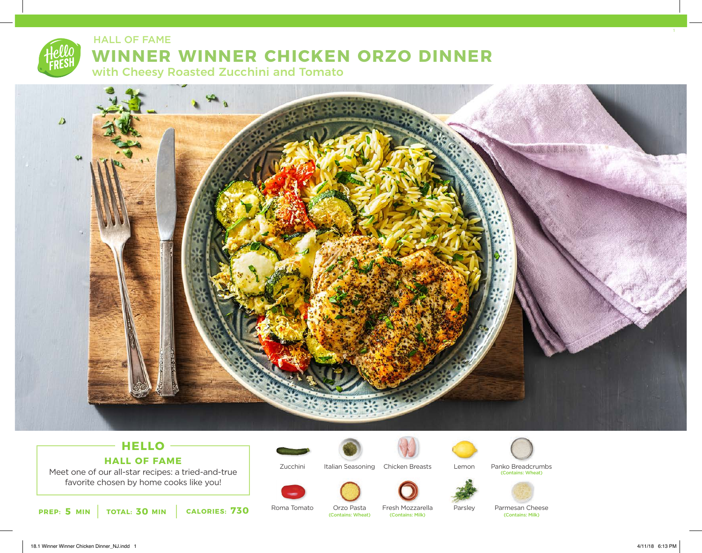

## **WINNER WINNER CHICKEN ORZO DINNER** HALL OF FAME

with Cheesy Roasted Zucchini and Tomato



## **HELLO HALL OF FAME**

Meet one of our all-star recipes: a tried-and-true favorite chosen by home cooks like you!





Italian Seasoning Chicken Breasts





Lemon

Parsley



Parmesan Cheese<br> **Contains: Milk**)

Panko Breadcrumbs

(Contains: Wheat)

**5 30 730 PREP: MIN TOTAL: MIN CALORIES:**

Roma Tomato

Orzo Pasta Fresh Mozzarella<br>Contains: Milk) (Contains: Wheat)